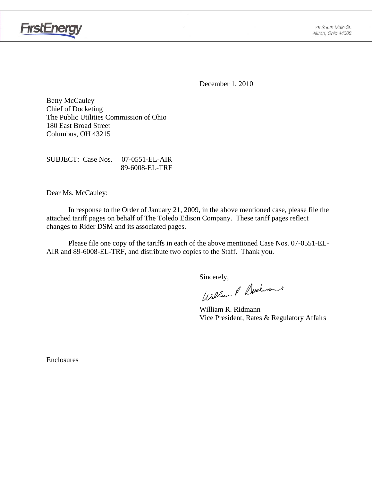

**FirstEnergy** 

December 1, 2010

Betty McCauley Chief of Docketing The Public Utilities Commission of Ohio 180 East Broad Street Columbus, OH 43215

SUBJECT: Case Nos. 07-0551-EL-AIR 89-6008-EL-TRF

Dear Ms. McCauley:

 In response to the Order of January 21, 2009, in the above mentioned case, please file the attached tariff pages on behalf of The Toledo Edison Company. These tariff pages reflect changes to Rider DSM and its associated pages.

Please file one copy of the tariffs in each of the above mentioned Case Nos. 07-0551-EL-AIR and 89-6008-EL-TRF, and distribute two copies to the Staff. Thank you.

Sincerely,<br>William & Nechnant

 William R. Ridmann Vice President, Rates & Regulatory Affairs

Enclosures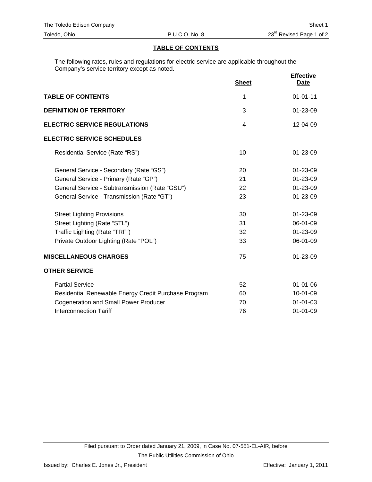### **TABLE OF CONTENTS**

The following rates, rules and regulations for electric service are applicable throughout the Company's service territory except as noted.

|                                                      | <b>Sheet</b> | <b>Effective</b><br><b>Date</b> |
|------------------------------------------------------|--------------|---------------------------------|
| <b>TABLE OF CONTENTS</b>                             | 1            | $01 - 01 - 11$                  |
| <b>DEFINITION OF TERRITORY</b>                       | 3            | $01 - 23 - 09$                  |
| <b>ELECTRIC SERVICE REGULATIONS</b>                  | 4            | 12-04-09                        |
| <b>ELECTRIC SERVICE SCHEDULES</b>                    |              |                                 |
| Residential Service (Rate "RS")                      | 10           | $01 - 23 - 09$                  |
| General Service - Secondary (Rate "GS")              | 20           | $01 - 23 - 09$                  |
| General Service - Primary (Rate "GP")                | 21           | $01 - 23 - 09$                  |
| General Service - Subtransmission (Rate "GSU")       | 22           | 01-23-09                        |
| General Service - Transmission (Rate "GT")           | 23           | $01 - 23 - 09$                  |
| <b>Street Lighting Provisions</b>                    | 30           | 01-23-09                        |
| Street Lighting (Rate "STL")                         | 31           | 06-01-09                        |
| Traffic Lighting (Rate "TRF")                        | 32           | 01-23-09                        |
| Private Outdoor Lighting (Rate "POL")                | 33           | 06-01-09                        |
| <b>MISCELLANEOUS CHARGES</b>                         | 75           | 01-23-09                        |
| <b>OTHER SERVICE</b>                                 |              |                                 |
| <b>Partial Service</b>                               | 52           | $01 - 01 - 06$                  |
| Residential Renewable Energy Credit Purchase Program | 60           | 10-01-09                        |
| <b>Cogeneration and Small Power Producer</b>         | 70           | $01 - 01 - 03$                  |
| <b>Interconnection Tariff</b>                        | 76           | $01 - 01 - 09$                  |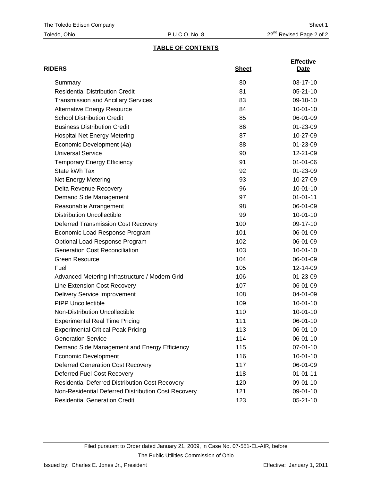## **TABLE OF CONTENTS**

| <b>RIDERS</b>                                          | <b>Sheet</b> | <b>Effective</b><br>Date |
|--------------------------------------------------------|--------------|--------------------------|
| Summary                                                | 80           | 03-17-10                 |
| <b>Residential Distribution Credit</b>                 | 81           | $05 - 21 - 10$           |
| <b>Transmission and Ancillary Services</b>             | 83           | 09-10-10                 |
| <b>Alternative Energy Resource</b>                     | 84           | $10 - 01 - 10$           |
| <b>School Distribution Credit</b>                      | 85           | 06-01-09                 |
| <b>Business Distribution Credit</b>                    | 86           | $01 - 23 - 09$           |
| <b>Hospital Net Energy Metering</b>                    | 87           | 10-27-09                 |
| Economic Development (4a)                              | 88           | 01-23-09                 |
| <b>Universal Service</b>                               | 90           | 12-21-09                 |
| <b>Temporary Energy Efficiency</b>                     | 91           | $01 - 01 - 06$           |
| State kWh Tax                                          | 92           | 01-23-09                 |
| Net Energy Metering                                    | 93           | 10-27-09                 |
| Delta Revenue Recovery                                 | 96           | $10 - 01 - 10$           |
| Demand Side Management                                 | 97           | $01 - 01 - 11$           |
| Reasonable Arrangement                                 | 98           | 06-01-09                 |
| <b>Distribution Uncollectible</b>                      | 99           | $10 - 01 - 10$           |
| <b>Deferred Transmission Cost Recovery</b>             | 100          | 09-17-10                 |
| Economic Load Response Program                         | 101          | 06-01-09                 |
| Optional Load Response Program                         | 102          | 06-01-09                 |
| <b>Generation Cost Reconciliation</b>                  | 103          | $10 - 01 - 10$           |
| <b>Green Resource</b>                                  | 104          | 06-01-09                 |
| Fuel                                                   | 105          | 12-14-09                 |
| Advanced Metering Infrastructure / Modern Grid         | 106          | 01-23-09                 |
| Line Extension Cost Recovery                           | 107          | 06-01-09                 |
| <b>Delivery Service Improvement</b>                    | 108          | 04-01-09                 |
| <b>PIPP Uncollectible</b>                              | 109          | $10 - 01 - 10$           |
| Non-Distribution Uncollectible                         | 110          | $10 - 01 - 10$           |
| <b>Experimental Real Time Pricing</b>                  | 111          | 06-01-10                 |
| <b>Experimental Critical Peak Pricing</b>              | 113          | 06-01-10                 |
| <b>Generation Service</b>                              | 114          | 06-01-10                 |
| Demand Side Management and Energy Efficiency           | 115          | 07-01-10                 |
| <b>Economic Development</b>                            | 116          | $10-01-10$               |
| <b>Deferred Generation Cost Recovery</b>               | 117          | 06-01-09                 |
| Deferred Fuel Cost Recovery                            | 118          | $01 - 01 - 11$           |
| <b>Residential Deferred Distribution Cost Recovery</b> | 120          | 09-01-10                 |
| Non-Residential Deferred Distribution Cost Recovery    | 121          | 09-01-10                 |
| <b>Residential Generation Credit</b>                   | 123          | 05-21-10                 |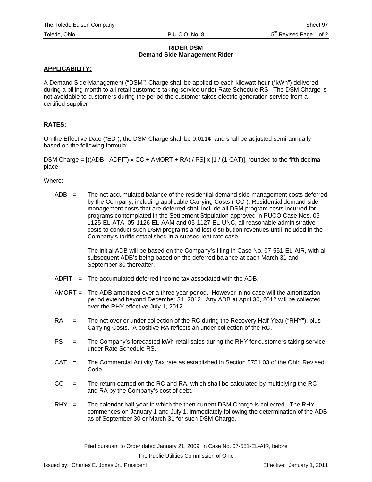### **RIDER DSM Demand Side Management Rider**

### **APPLICABILITY:**

A Demand Side Management ("DSM") Charge shall be applied to each kilowatt-hour ("kWh") delivered during a billing month to all retail customers taking service under Rate Schedule RS. The DSM Charge is not avoidable to customers during the period the customer takes electric generation service from a certified supplier.

### **RATES:**

On the Effective Date ("ED"), the DSM Charge shall be 0.011¢, and shall be adjusted semi-annually based on the following formula:

DSM Charge =  $((ADB - ADFIT) \times CC + AMORT + RA) / PS \times [1 / (1-CAT)],$  rounded to the fifth decimal place.

Where:

 $ADB =$  The net accumulated balance of the residential demand side management costs deferred by the Company, including applicable Carrying Costs ("CC"). Residential demand side management costs that are deferred shall include all DSM program costs incurred for programs contemplated in the Settlement Stipulation approved in PUCO Case Nos. 05- 1125-EL-ATA, 05-1126-EL-AAM and 05-1127-EL-UNC, all reasonable administrative costs to conduct such DSM programs and lost distribution revenues until included in the Company's tariffs established in a subsequent rate case.

> The initial ADB will be based on the Company's filing in Case No. 07-551-EL-AIR, with all subsequent ADB's being based on the deferred balance at each March 31 and September 30 thereafter.

- $ADFIT = The accumulated deferred income tax associated with the ADB.$
- AMORT = The ADB amortized over a three year period. However in no case will the amortization period extend beyond December 31, 2012. Any ADB at April 30, 2012 will be collected over the RHY effective July 1, 2012.
- RA = The net over or under collection of the RC during the Recovery Half-Year ("RHY"), plus Carrying Costs. A positive RA reflects an under collection of the RC.
- PS = The Company's forecasted kWh retail sales during the RHY for customers taking service under Rate Schedule RS.
- CAT = The Commercial Activity Tax rate as established in Section 5751.03 of the Ohio Revised Code.
- $CC =$  The return earned on the RC and RA, which shall be calculated by multiplying the RC and RA by the Company's cost of debt.
- $RHY =$  The calendar half-year in which the then current DSM Charge is collected. The RHY commences on January 1 and July 1, immediately following the determination of the ADB as of September 30 or March 31 for such DSM Charge.